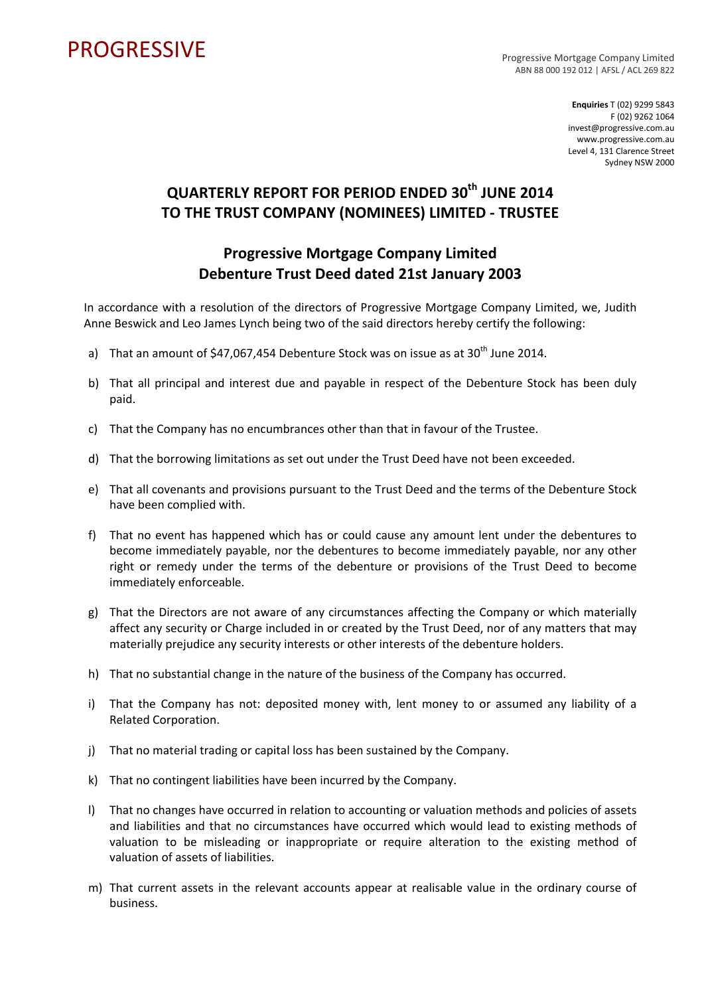## PROGRESSIVE PROGRESSIVE

ABN 88 000 192 012 | AFSL / ACL 269 822

**Enquiries** T (02) 9299 5843 F (02) 9262 1064 invest@progressive.com.au www.progressive.com.au Level 4, 131 Clarence Street Sydney NSW 2000

## **QUARTERLY REPORT FOR PERIOD ENDED 30th JUNE 2014 TO THE TRUST COMPANY (NOMINEES) LIMITED ‐ TRUSTEE**

## **Progressive Mortgage Company Limited Debenture Trust Deed dated 21st January 2003**

In accordance with a resolution of the directors of Progressive Mortgage Company Limited, we, Judith Anne Beswick and Leo James Lynch being two of the said directors hereby certify the following:

- a) That an amount of  $$47,067,454$  Debenture Stock was on issue as at  $30<sup>th</sup>$  June 2014.
- b) That all principal and interest due and payable in respect of the Debenture Stock has been duly paid.
- c) That the Company has no encumbrances other than that in favour of the Trustee.
- d) That the borrowing limitations as set out under the Trust Deed have not been exceeded.
- e) That all covenants and provisions pursuant to the Trust Deed and the terms of the Debenture Stock have been complied with.
- f) That no event has happened which has or could cause any amount lent under the debentures to become immediately payable, nor the debentures to become immediately payable, nor any other right or remedy under the terms of the debenture or provisions of the Trust Deed to become immediately enforceable.
- g) That the Directors are not aware of any circumstances affecting the Company or which materially affect any security or Charge included in or created by the Trust Deed, nor of any matters that may materially prejudice any security interests or other interests of the debenture holders.
- h) That no substantial change in the nature of the business of the Company has occurred.
- i) That the Company has not: deposited money with, lent money to or assumed any liability of a Related Corporation.
- j) That no material trading or capital loss has been sustained by the Company.
- k) That no contingent liabilities have been incurred by the Company.
- l) That no changes have occurred in relation to accounting or valuation methods and policies of assets and liabilities and that no circumstances have occurred which would lead to existing methods of valuation to be misleading or inappropriate or require alteration to the existing method of valuation of assets of liabilities.
- m) That current assets in the relevant accounts appear at realisable value in the ordinary course of business.